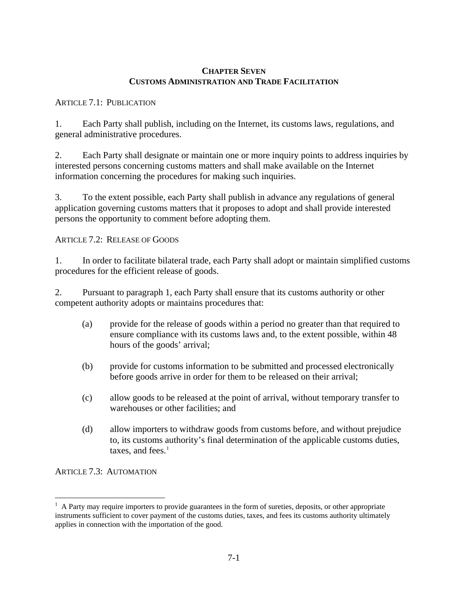### **CHAPTER SEVEN CUSTOMS ADMINISTRATION AND TRADE FACILITATION**

## ARTICLE 7.1: PUBLICATION

1. Each Party shall publish, including on the Internet, its customs laws, regulations, and general administrative procedures.

2. Each Party shall designate or maintain one or more inquiry points to address inquiries by interested persons concerning customs matters and shall make available on the Internet information concerning the procedures for making such inquiries.

3. To the extent possible, each Party shall publish in advance any regulations of general application governing customs matters that it proposes to adopt and shall provide interested persons the opportunity to comment before adopting them.

## ARTICLE 7.2: RELEASE OF GOODS

1. In order to facilitate bilateral trade, each Party shall adopt or maintain simplified customs procedures for the efficient release of goods.

2. Pursuant to paragraph 1, each Party shall ensure that its customs authority or other competent authority adopts or maintains procedures that:

- (a) provide for the release of goods within a period no greater than that required to ensure compliance with its customs laws and, to the extent possible, within 48 hours of the goods' arrival;
- (b) provide for customs information to be submitted and processed electronically before goods arrive in order for them to be released on their arrival;
- (c) allow goods to be released at the point of arrival, without temporary transfer to warehouses or other facilities; and
- (d) allow importers to withdraw goods from customs before, and without prejudice to, its customs authority's final determination of the applicable customs duties, taxes, and fees. $<sup>1</sup>$  $<sup>1</sup>$  $<sup>1</sup>$ </sup>

ARTICLE 7.3: AUTOMATION

<span id="page-0-0"></span> $\overline{a}$ <sup>1</sup> A Party may require importers to provide guarantees in the form of sureties, deposits, or other appropriate instruments sufficient to cover payment of the customs duties, taxes, and fees its customs authority ultimately applies in connection with the importation of the good.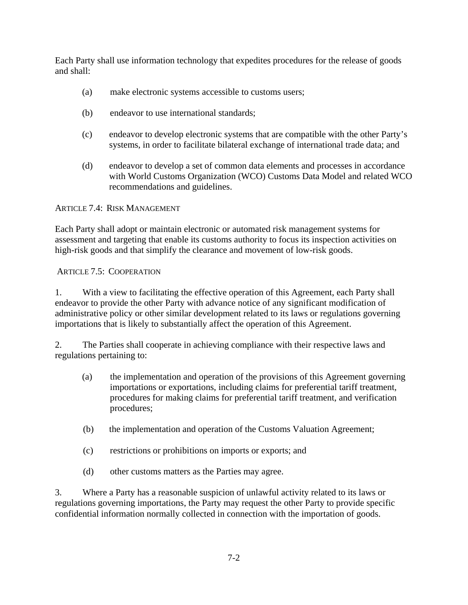Each Party shall use information technology that expedites procedures for the release of goods and shall:

- (a) make electronic systems accessible to customs users;
- (b) endeavor to use international standards;
- (c) endeavor to develop electronic systems that are compatible with the other Party's systems, in order to facilitate bilateral exchange of international trade data; and
- (d) endeavor to develop a set of common data elements and processes in accordance with World Customs Organization (WCO) Customs Data Model and related WCO recommendations and guidelines.

#### ARTICLE 7.4: RISK MANAGEMENT

Each Party shall adopt or maintain electronic or automated risk management systems for assessment and targeting that enable its customs authority to focus its inspection activities on high-risk goods and that simplify the clearance and movement of low-risk goods.

#### ARTICLE 7.5: COOPERATION

1. With a view to facilitating the effective operation of this Agreement, each Party shall endeavor to provide the other Party with advance notice of any significant modification of administrative policy or other similar development related to its laws or regulations governing importations that is likely to substantially affect the operation of this Agreement.

2. The Parties shall cooperate in achieving compliance with their respective laws and regulations pertaining to:

- (a) the implementation and operation of the provisions of this Agreement governing importations or exportations, including claims for preferential tariff treatment, procedures for making claims for preferential tariff treatment, and verification procedures;
- (b) the implementation and operation of the Customs Valuation Agreement;
- (c) restrictions or prohibitions on imports or exports; and
- (d) other customs matters as the Parties may agree.

3. Where a Party has a reasonable suspicion of unlawful activity related to its laws or regulations governing importations, the Party may request the other Party to provide specific confidential information normally collected in connection with the importation of goods.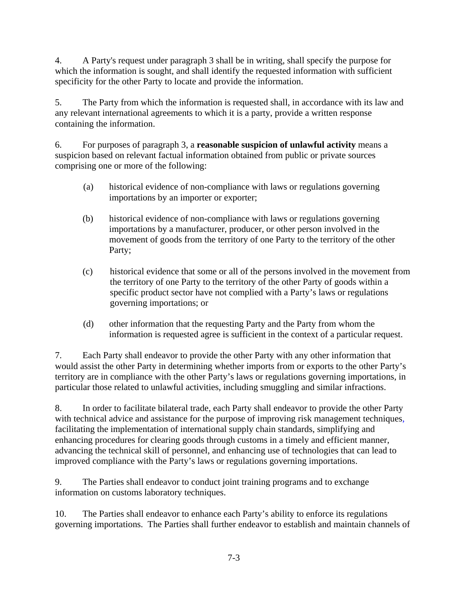4. A Party's request under paragraph 3 shall be in writing, shall specify the purpose for which the information is sought, and shall identify the requested information with sufficient specificity for the other Party to locate and provide the information.

5. The Party from which the information is requested shall, in accordance with its law and any relevant international agreements to which it is a party, provide a written response containing the information.

6. For purposes of paragraph 3, a **reasonable suspicion of unlawful activity** means a suspicion based on relevant factual information obtained from public or private sources comprising one or more of the following:

- (a) historical evidence of non-compliance with laws or regulations governing importations by an importer or exporter;
- (b) historical evidence of non-compliance with laws or regulations governing importations by a manufacturer, producer, or other person involved in the movement of goods from the territory of one Party to the territory of the other Party;
- (c) historical evidence that some or all of the persons involved in the movement from the territory of one Party to the territory of the other Party of goods within a specific product sector have not complied with a Party's laws or regulations governing importations; or
- (d) other information that the requesting Party and the Party from whom the information is requested agree is sufficient in the context of a particular request.

7. Each Party shall endeavor to provide the other Party with any other information that would assist the other Party in determining whether imports from or exports to the other Party's territory are in compliance with the other Party's laws or regulations governing importations, in particular those related to unlawful activities, including smuggling and similar infractions.

8. In order to facilitate bilateral trade, each Party shall endeavor to provide the other Party with technical advice and assistance for the purpose of improving risk management techniques, facilitating the implementation of international supply chain standards, simplifying and enhancing procedures for clearing goods through customs in a timely and efficient manner, advancing the technical skill of personnel, and enhancing use of technologies that can lead to improved compliance with the Party's laws or regulations governing importations.

9. The Parties shall endeavor to conduct joint training programs and to exchange information on customs laboratory techniques.

10. The Parties shall endeavor to enhance each Party's ability to enforce its regulations governing importations. The Parties shall further endeavor to establish and maintain channels of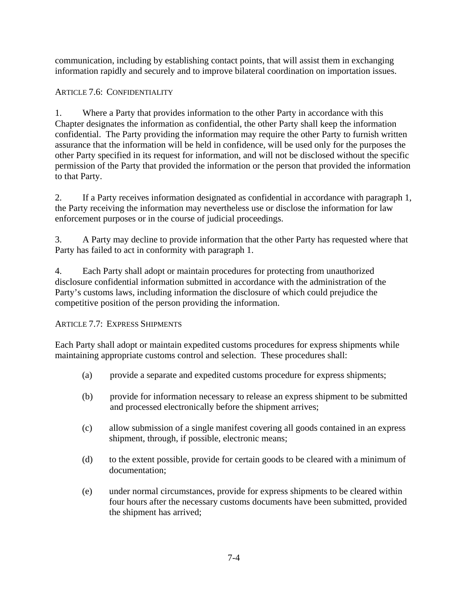communication, including by establishing contact points, that will assist them in exchanging information rapidly and securely and to improve bilateral coordination on importation issues.

# ARTICLE 7.6: CONFIDENTIALITY

1. Where a Party that provides information to the other Party in accordance with this Chapter designates the information as confidential, the other Party shall keep the information confidential. The Party providing the information may require the other Party to furnish written assurance that the information will be held in confidence, will be used only for the purposes the other Party specified in its request for information, and will not be disclosed without the specific permission of the Party that provided the information or the person that provided the information to that Party.

2. If a Party receives information designated as confidential in accordance with paragraph 1, the Party receiving the information may nevertheless use or disclose the information for law enforcement purposes or in the course of judicial proceedings.

3. A Party may decline to provide information that the other Party has requested where that Party has failed to act in conformity with paragraph 1.

4. Each Party shall adopt or maintain procedures for protecting from unauthorized disclosure confidential information submitted in accordance with the administration of the Party's customs laws, including information the disclosure of which could prejudice the competitive position of the person providing the information.

## ARTICLE 7.7: EXPRESS SHIPMENTS

Each Party shall adopt or maintain expedited customs procedures for express shipments while maintaining appropriate customs control and selection. These procedures shall:

- (a) provide a separate and expedited customs procedure for express shipments;
- (b) provide for information necessary to release an express shipment to be submitted and processed electronically before the shipment arrives;
- (c) allow submission of a single manifest covering all goods contained in an express shipment, through, if possible, electronic means;
- (d) to the extent possible, provide for certain goods to be cleared with a minimum of documentation;
- (e) under normal circumstances, provide for express shipments to be cleared within four hours after the necessary customs documents have been submitted, provided the shipment has arrived;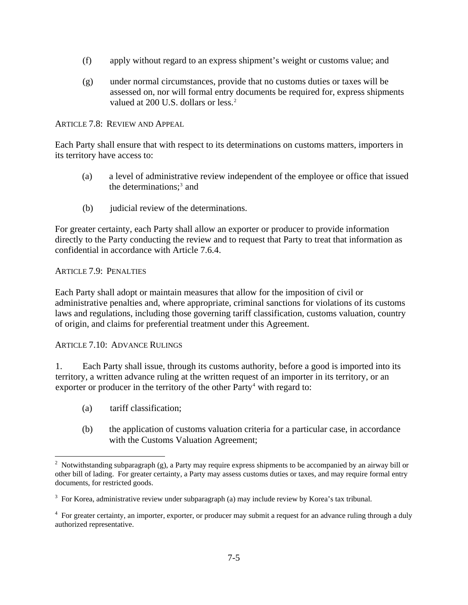- (f) apply without regard to an express shipment's weight or customs value; and
- (g) under normal circumstances, provide that no customs duties or taxes will be assessed on, nor will formal entry documents be required for, express shipments valued at [2](#page-4-0)00 U.S. dollars or less.<sup>2</sup>

ARTICLE 7.8: REVIEW AND APPEAL

Each Party shall ensure that with respect to its determinations on customs matters, importers in its territory have access to:

- (a) a level of administrative review independent of the employee or office that issued the determinations;<sup>[3](#page-4-1)</sup> and
- (b) judicial review of the determinations.

For greater certainty, each Party shall allow an exporter or producer to provide information directly to the Party conducting the review and to request that Party to treat that information as confidential in accordance with Article 7.6.4.

#### ARTICLE 7.9: PENALTIES

Each Party shall adopt or maintain measures that allow for the imposition of civil or administrative penalties and, where appropriate, criminal sanctions for violations of its customs laws and regulations, including those governing tariff classification, customs valuation, country of origin, and claims for preferential treatment under this Agreement.

ARTICLE 7.10: ADVANCE RULINGS

1. Each Party shall issue, through its customs authority, before a good is imported into its territory, a written advance ruling at the written request of an importer in its territory, or an exporter or producer in the territory of the other Party<sup>[4](#page-4-2)</sup> with regard to:

- (a) tariff classification;
- (b) the application of customs valuation criteria for a particular case, in accordance with the Customs Valuation Agreement;

<span id="page-4-0"></span><sup>&</sup>lt;sup>2</sup> Notwithstanding subparagraph (g), a Party may require express shipments to be accompanied by an airway bill or other bill of lading. For greater certainty, a Party may assess customs duties or taxes, and may require formal entry documents, for restricted goods.

<span id="page-4-1"></span> $3$  For Korea, administrative review under subparagraph (a) may include review by Korea's tax tribunal.

<span id="page-4-2"></span><sup>&</sup>lt;sup>4</sup> For greater certainty, an importer, exporter, or producer may submit a request for an advance ruling through a duly authorized representative.